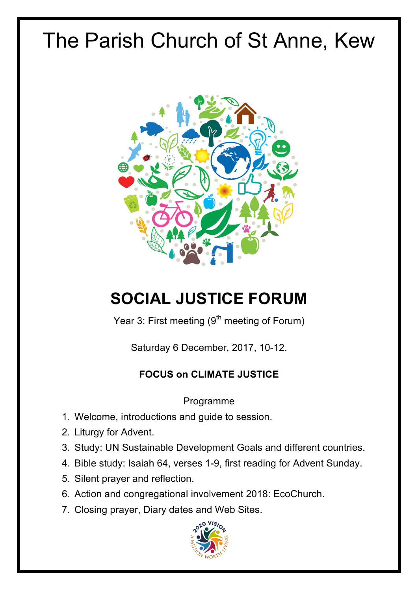# The Parish Church of St Anne, Kew



## **SOCIAL JUSTICE FORUM**

Year 3: First meeting (9<sup>th</sup> meeting of Forum)

Saturday 6 December, 2017, 10-12.

#### **FOCUS on CLIMATE JUSTICE**

Programme

- 1. Welcome, introductions and guide to session.
- 2. Liturgy for Advent.
- 3. Study: UN Sustainable Development Goals and different countries.
- 4. Bible study: Isaiah 64, verses 1-9, first reading for Advent Sunday.
- 5. Silent prayer and reflection.
- 6. Action and congregational involvement 2018: EcoChurch.
- 7. Closing prayer, Diary dates and Web Sites.

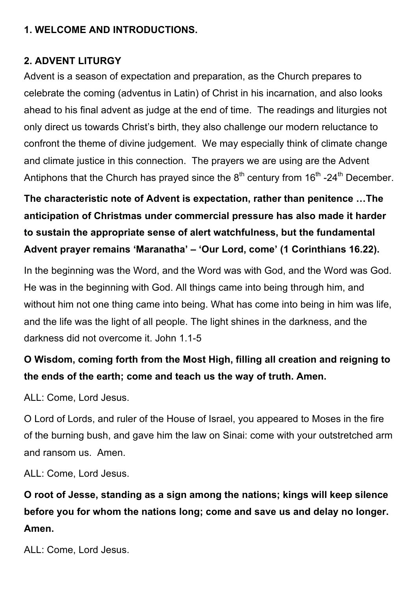#### **1. WELCOME AND INTRODUCTIONS.**

#### **2. ADVENT LITURGY**

Advent is a season of expectation and preparation, as the Church prepares to celebrate the coming (adventus in Latin) of Christ in his incarnation, and also looks ahead to his final advent as judge at the end of time. The readings and liturgies not only direct us towards Christ's birth, they also challenge our modern reluctance to confront the theme of divine judgement. We may especially think of climate change and climate justice in this connection. The prayers we are using are the Advent Antiphons that the Church has prayed since the  $8<sup>th</sup>$  century from  $16<sup>th</sup>$  -24<sup>th</sup> December.

**The characteristic note of Advent is expectation, rather than penitence …The anticipation of Christmas under commercial pressure has also made it harder to sustain the appropriate sense of alert watchfulness, but the fundamental Advent prayer remains 'Maranatha' – 'Our Lord, come' (1 Corinthians 16.22).**

In the beginning was the Word, and the Word was with God, and the Word was God. He was in the beginning with God. All things came into being through him, and without him not one thing came into being. What has come into being in him was life, and the life was the light of all people. The light shines in the darkness, and the darkness did not overcome it. John 1.1-5

### **O Wisdom, coming forth from the Most High, filling all creation and reigning to the ends of the earth; come and teach us the way of truth. Amen.**

ALL: Come, Lord Jesus.

O Lord of Lords, and ruler of the House of Israel, you appeared to Moses in the fire of the burning bush, and gave him the law on Sinai: come with your outstretched arm and ransom us. Amen.

ALL: Come, Lord Jesus.

## **O root of Jesse, standing as a sign among the nations; kings will keep silence before you for whom the nations long; come and save us and delay no longer. Amen.**

ALL: Come, Lord Jesus.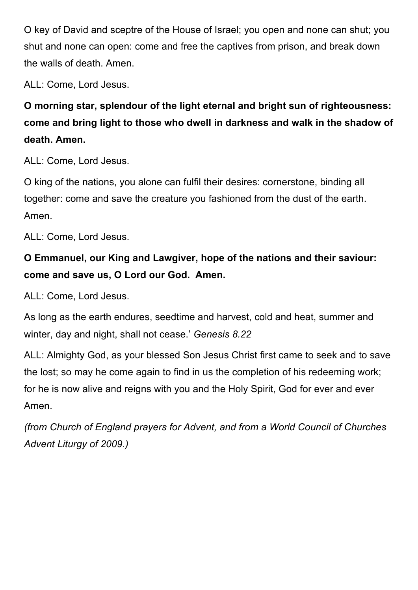O key of David and sceptre of the House of Israel; you open and none can shut; you shut and none can open: come and free the captives from prison, and break down the walls of death. Amen.

ALL: Come, Lord Jesus.

**O morning star, splendour of the light eternal and bright sun of righteousness: come and bring light to those who dwell in darkness and walk in the shadow of death. Amen.** 

ALL: Come, Lord Jesus.

O king of the nations, you alone can fulfil their desires: cornerstone, binding all together: come and save the creature you fashioned from the dust of the earth. Amen.

ALL: Come, Lord Jesus.

## **O Emmanuel, our King and Lawgiver, hope of the nations and their saviour: come and save us, O Lord our God. Amen.**

ALL: Come, Lord Jesus.

As long as the earth endures, seedtime and harvest, cold and heat, summer and winter, day and night, shall not cease.' *Genesis 8.22* 

ALL: Almighty God, as your blessed Son Jesus Christ first came to seek and to save the lost; so may he come again to find in us the completion of his redeeming work; for he is now alive and reigns with you and the Holy Spirit, God for ever and ever Amen.

*(from Church of England prayers for Advent, and from a World Council of Churches Advent Liturgy of 2009.)*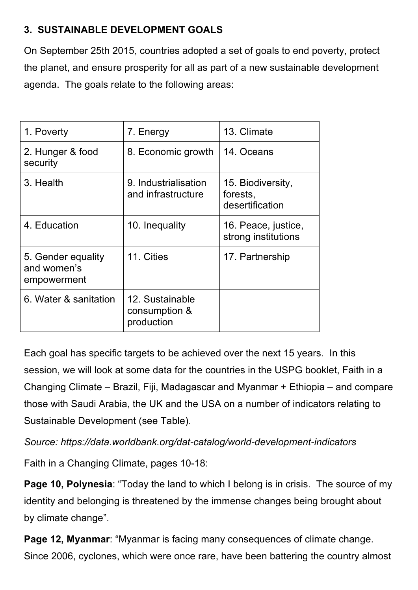#### **3. SUSTAINABLE DEVELOPMENT GOALS**

On September 25th 2015, countries adopted a set of goals to end poverty, protect the planet, and ensure prosperity for all as part of a new sustainable development agenda. The goals relate to the following areas:

| 1. Poverty                                       | 7. Energy                                      | 13. Climate                                      |
|--------------------------------------------------|------------------------------------------------|--------------------------------------------------|
| 2. Hunger & food<br>security                     | 8. Economic growth                             | 14. Oceans                                       |
| 3. Health                                        | 9. Industrialisation<br>and infrastructure     | 15. Biodiversity,<br>forests,<br>desertification |
| 4. Education                                     | 10. Inequality                                 | 16. Peace, justice,<br>strong institutions       |
| 5. Gender equality<br>and women's<br>empowerment | 11. Cities                                     | 17. Partnership                                  |
| 6. Water & sanitation                            | 12. Sustainable<br>consumption &<br>production |                                                  |

Each goal has specific targets to be achieved over the next 15 years. In this session, we will look at some data for the countries in the USPG booklet, Faith in a Changing Climate – Brazil, Fiji, Madagascar and Myanmar + Ethiopia – and compare those with Saudi Arabia, the UK and the USA on a number of indicators relating to Sustainable Development (see Table).

*Source: https://data.worldbank.org/dat-catalog/world-development-indicators*

Faith in a Changing Climate, pages 10-18:

**Page 10, Polynesia:** "Today the land to which I belong is in crisis. The source of my identity and belonging is threatened by the immense changes being brought about by climate change".

**Page 12, Myanmar**: "Myanmar is facing many consequences of climate change. Since 2006, cyclones, which were once rare, have been battering the country almost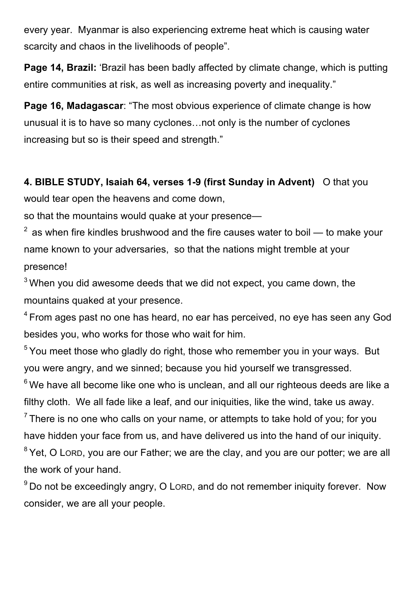every year. Myanmar is also experiencing extreme heat which is causing water scarcity and chaos in the livelihoods of people".

**Page 14, Brazil:** 'Brazil has been badly affected by climate change, which is putting entire communities at risk, as well as increasing poverty and inequality."

**Page 16, Madagascar**: "The most obvious experience of climate change is how unusual it is to have so many cyclones…not only is the number of cyclones increasing but so is their speed and strength."

**4. BIBLE STUDY, Isaiah 64, verses 1-9 (first Sunday in Advent)** O that you would tear open the heavens and come down,

so that the mountains would quake at your presence—

 $2$  as when fire kindles brushwood and the fire causes water to boil — to make your name known to your adversaries, so that the nations might tremble at your presence!

 $3$  When you did awesome deeds that we did not expect, you came down, the mountains quaked at your presence.

<sup>4</sup> From ages past no one has heard, no ear has perceived, no eye has seen any God besides you, who works for those who wait for him.

 $5$  You meet those who gladly do right, those who remember you in your ways. But you were angry, and we sinned; because you hid yourself we transgressed.

 $6$  We have all become like one who is unclean, and all our righteous deeds are like a filthy cloth. We all fade like a leaf, and our iniquities, like the wind, take us away.

 $<sup>7</sup>$  There is no one who calls on your name, or attempts to take hold of you; for you</sup> have hidden your face from us, and have delivered us into the hand of our iniquity. <sup>8</sup> Yet, O Loro, you are our Father; we are the clay, and you are our potter; we are all the work of your hand.

 $9$  Do not be exceedingly angry, O LORD, and do not remember iniquity forever. Now consider, we are all your people.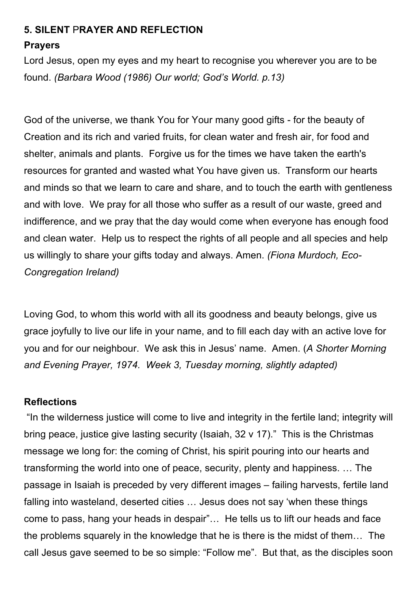#### **5. SILENT** P**RAYER AND REFLECTION**

#### **Prayers**

Lord Jesus, open my eyes and my heart to recognise you wherever you are to be found. *(Barbara Wood (1986) Our world; God's World. p.13)*

God of the universe, we thank You for Your many good gifts - for the beauty of Creation and its rich and varied fruits, for clean water and fresh air, for food and shelter, animals and plants. Forgive us for the times we have taken the earth's resources for granted and wasted what You have given us. Transform our hearts and minds so that we learn to care and share, and to touch the earth with gentleness and with love. We pray for all those who suffer as a result of our waste, greed and indifference, and we pray that the day would come when everyone has enough food and clean water. Help us to respect the rights of all people and all species and help us willingly to share your gifts today and always. Amen. *(Fiona Murdoch, Eco-Congregation Ireland)*

Loving God, to whom this world with all its goodness and beauty belongs, give us grace joyfully to live our life in your name, and to fill each day with an active love for you and for our neighbour. We ask this in Jesus' name. Amen. (*A Shorter Morning and Evening Prayer, 1974. Week 3, Tuesday morning, slightly adapted)*

#### **Reflections**

"In the wilderness justice will come to live and integrity in the fertile land; integrity will bring peace, justice give lasting security (Isaiah, 32 v 17)." This is the Christmas message we long for: the coming of Christ, his spirit pouring into our hearts and transforming the world into one of peace, security, plenty and happiness. … The passage in Isaiah is preceded by very different images – failing harvests, fertile land falling into wasteland, deserted cities … Jesus does not say 'when these things come to pass, hang your heads in despair"… He tells us to lift our heads and face the problems squarely in the knowledge that he is there is the midst of them… The call Jesus gave seemed to be so simple: "Follow me". But that, as the disciples soon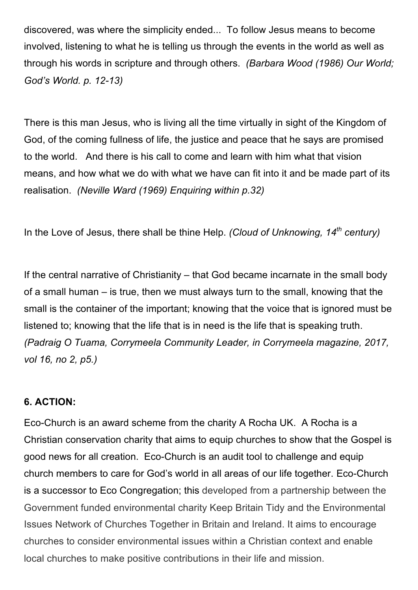discovered, was where the simplicity ended... To follow Jesus means to become involved, listening to what he is telling us through the events in the world as well as through his words in scripture and through others. *(Barbara Wood (1986) Our World; God's World. p. 12-13)*

There is this man Jesus, who is living all the time virtually in sight of the Kingdom of God, of the coming fullness of life, the justice and peace that he says are promised to the world. And there is his call to come and learn with him what that vision means, and how what we do with what we have can fit into it and be made part of its realisation. *(Neville Ward (1969) Enquiring within p.32)*

In the Love of Jesus, there shall be thine Help. *(Cloud of Unknowing, 14th century)*

If the central narrative of Christianity – that God became incarnate in the small body of a small human – is true, then we must always turn to the small, knowing that the small is the container of the important; knowing that the voice that is ignored must be listened to; knowing that the life that is in need is the life that is speaking truth. *(Padraig O Tuama, Corrymeela Community Leader, in Corrymeela magazine, 2017, vol 16, no 2, p5.)*

#### **6. ACTION:**

Eco-Church is an award scheme from the charity A Rocha UK. A Rocha is a Christian conservation charity that aims to equip churches to show that the Gospel is good news for all creation. Eco-Church is an audit tool to challenge and equip church members to care for God's world in all areas of our life together. Eco-Church is a successor to Eco Congregation; this developed from a partnership between the Government funded environmental charity Keep Britain Tidy and the Environmental Issues Network of Churches Together in Britain and Ireland. It aims to encourage churches to consider environmental issues within a Christian context and enable local churches to make positive contributions in their life and mission.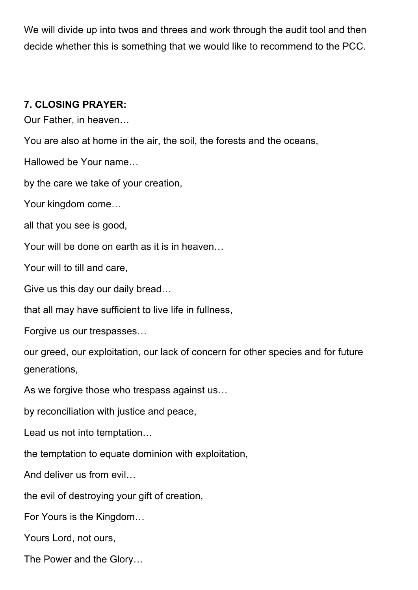We will divide up into twos and threes and work through the audit tool and then decide whether this is something that we would like to recommend to the PCC.

#### **7. CLOSING PRAYER:**

Our Father, in heaven…

You are also at home in the air, the soil, the forests and the oceans,

Hallowed be Your name…

by the care we take of your creation,

Your kingdom come…

all that you see is good,

Your will be done on earth as it is in heaven…

Your will to till and care,

Give us this day our daily bread…

that all may have sufficient to live life in fullness,

Forgive us our trespasses…

our greed, our exploitation, our lack of concern for other species and for future generations,

As we forgive those who trespass against us…

by reconciliation with justice and peace,

Lead us not into temptation…

the temptation to equate dominion with exploitation,

And deliver us from evil…

the evil of destroying your gift of creation,

For Yours is the Kingdom…

Yours Lord, not ours,

The Power and the Glory…